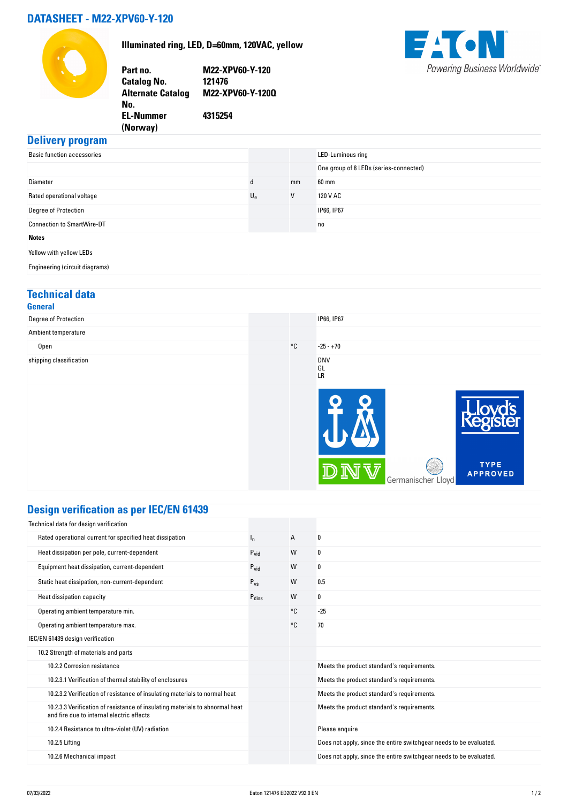#### **DATASHEET - M22-XPV60-Y-120**



**Illuminated ring, LED, D=60mm, 120VAC, yellow**

**Part no. M22-XPV60-Y-120 Catalog No. Alternate Catalog No. M22-XPV60-Y-120Q EL-Nummer (Norway) 4315254**



#### **Delivery program**

| <b>Basic function accessories</b> |             |    | LED-Luminous ring                      |
|-----------------------------------|-------------|----|----------------------------------------|
|                                   |             |    | One group of 8 LEDs (series-connected) |
| Diameter                          | d           | mm | 60 mm                                  |
| Rated operational voltage         | $U_{\rm e}$ | V  | 120 V AC                               |
| Degree of Protection              |             |    | IP66, IP67                             |
| <b>Connection to SmartWire-DT</b> |             |    | n <sub>0</sub>                         |
| <b>Notes</b>                      |             |    |                                        |
| Yellow with yellow LEDs           |             |    |                                        |
| Engineering (circuit diagrams)    |             |    |                                        |

### **Technical data**

| <b>General</b>          |              |                               |                                |
|-------------------------|--------------|-------------------------------|--------------------------------|
| Degree of Protection    |              | IP66, IP67                    |                                |
| Ambient temperature     |              |                               |                                |
| Open                    | $^{\circ}$ C | $-25 - +70$                   |                                |
| shipping classification |              | <b>DNV</b><br>GL<br><b>LR</b> |                                |
|                         |              |                               |                                |
|                         |              | Germanischer Lloyd            | <b>TYPE</b><br><b>APPROVED</b> |

# **Design verification as per IEC/EN 61439**

| Technical data for design verification                                                                                    |                |    |                                                                    |
|---------------------------------------------------------------------------------------------------------------------------|----------------|----|--------------------------------------------------------------------|
| Rated operational current for specified heat dissipation                                                                  | ı <sub>n</sub> | A  | 0                                                                  |
| Heat dissipation per pole, current-dependent                                                                              | $P_{vid}$      | W  | 0                                                                  |
| Equipment heat dissipation, current-dependent                                                                             | $P_{vid}$      | W  | 0                                                                  |
| Static heat dissipation, non-current-dependent                                                                            | $P_{VS}$       | W  | 0.5                                                                |
| Heat dissipation capacity                                                                                                 | Pdiss          | W  | 0                                                                  |
| Operating ambient temperature min.                                                                                        |                | °C | $-25$                                                              |
| Operating ambient temperature max.                                                                                        |                | °C | 70                                                                 |
| IEC/EN 61439 design verification                                                                                          |                |    |                                                                    |
| 10.2 Strength of materials and parts                                                                                      |                |    |                                                                    |
| 10.2.2 Corrosion resistance                                                                                               |                |    | Meets the product standard's requirements.                         |
| 10.2.3.1 Verification of thermal stability of enclosures                                                                  |                |    | Meets the product standard's requirements.                         |
| 10.2.3.2 Verification of resistance of insulating materials to normal heat                                                |                |    | Meets the product standard's requirements.                         |
| 10.2.3.3 Verification of resistance of insulating materials to abnormal heat<br>and fire due to internal electric effects |                |    | Meets the product standard's requirements.                         |
| 10.2.4 Resistance to ultra-violet (UV) radiation                                                                          |                |    | Please enquire                                                     |
| 10.2.5 Lifting                                                                                                            |                |    | Does not apply, since the entire switchgear needs to be evaluated. |
| 10.2.6 Mechanical impact                                                                                                  |                |    | Does not apply, since the entire switchgear needs to be evaluated. |